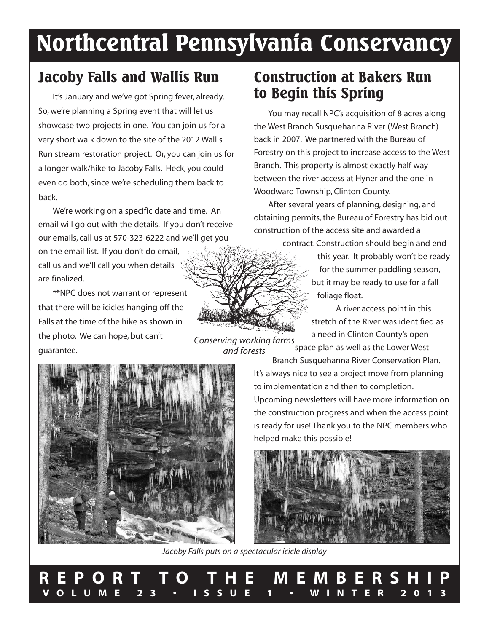# **Northcentral Pennsylvania Conservancy**

# **Jacoby Falls and Wallis Run**

It's January and we've got Spring fever, already. So, we're planning a Spring event that will let us showcase two projects in one. You can join us for a very short walk down to the site of the 2012 Wallis Run stream restoration project. Or, you can join us for a longer walk/hike to Jacoby Falls. Heck, you could even do both, since we're scheduling them back to back.

We're working on a specific date and time. An email will go out with the details. If you don't receive our emails, call us at 570-323-6222 and we'll get you

on the email list. If you don't do email, call us and we'll call you when details are finalized.

\*\*NPC does not warrant or represent that there will be icicles hanging off the Falls at the time of the hike as shown in the photo. We can hope, but can't guarantee.



# **Construction at Bakers Run to Begin this Spring**

You may recall NPC's acquisition of 8 acres along the West Branch Susquehanna River (West Branch) back in 2007. We partnered with the Bureau of Forestry on this project to increase access to the West Branch. This property is almost exactly half way between the river access at Hyner and the one in Woodward Township, Clinton County.

After several years of planning, designing, and obtaining permits, the Bureau of Forestry has bid out construction of the access site and awarded a

contract. Construction should begin and end this year. It probably won't be ready for the summer paddling season, but it may be ready to use for a fall foliage float.

> A river access point in this stretch of the River was identified as a need in Clinton County's open

*Conserving working farms and forests* space plan as well as the Lower West



Branch Susquehanna River Conservation Plan. It's always nice to see a project move from planning to implementation and then to completion. Upcoming newsletters will have more information on the construction progress and when the access point is ready for use! Thank you to the NPC members who helped make this possible!



*Jacoby Falls puts on a spectacular icicle display*

**R E P O R T T O T H E M E M B E R S H I P** VOLUME 23 · ISSUE 1 · WINTER 2013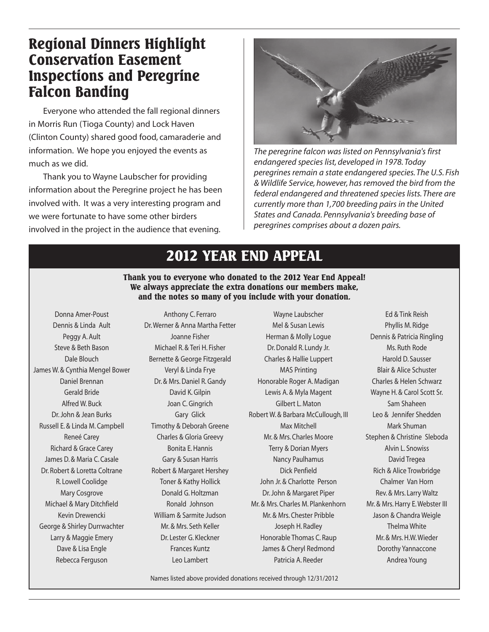# **Regional Dinners Highlight Conservation Easement Inspections and Peregrine Falcon Banding**

Everyone who attended the fall regional dinners in Morris Run (Tioga County) and Lock Haven (Clinton County) shared good food, camaraderie and information. We hope you enjoyed the events as much as we did.

Thank you to Wayne Laubscher for providing information about the Peregrine project he has been involved with. It was a very interesting program and we were fortunate to have some other birders involved in the project in the audience that evening.



*The peregrine falcon was listed on Pennsylvania's first endangered species list, developed in 1978.Today peregrines remain a state endangered species.The U.S. Fish & Wildlife Service, however, has removed the bird from the federal endangered and threatened species lists.There are currently more than 1,700 breeding pairs in the United States and Canada. Pennsylvania's breeding base of peregrines comprises about a dozen pairs.*

# **2012 YEAR END APPEAL**

### **Thank you to everyone who donated to the 2012 Year End Appeal! We always appreciate the extra donations our members make, and the notes so many of you include with your donation.**

Donna Amer-Poust Dennis & Linda Ault Peggy A. Ault Steve & Beth Bason Dale Blouch James W. & Cynthia Mengel Bower Daniel Brennan Gerald Bride Alfred W. Buck Dr.John & Jean Burks Russell E. & Linda M. Campbell Reneé Carey Richard & Grace Carey James D. & Maria C. Casale Dr. Robert & Loretta Coltrane R. Lowell Coolidge Mary Cosgrove Michael & Mary Ditchfield Kevin Drewencki George & Shirley Durrwachter Larry & Maggie Emery Dave & Lisa Engle Rebecca Ferguson

Anthony C. Ferraro Dr.Werner & Anna Martha Fetter Joanne Fisher Michael R. & Teri H. Fisher Bernette & George Fitzgerald Veryl & Linda Frye Dr. & Mrs. Daniel R. Gandy David K.Gilpin Joan C.Gingrich Gary Glick Timothy & Deborah Greene Charles & Gloria Greevy Bonita E.Hannis Gary & Susan Harris Robert & Margaret Hershey Toner & Kathy Hollick Donald G.Holtzman Ronald Johnson William & Sarmite Judson Mr. & Mrs. Seth Keller Dr. Lester G. Kleckner Frances Kuntz Leo Lambert

Wayne Laubscher Mel & Susan Lewis Herman & Molly Logue Dr.Donald R. Lundy Jr. Charles & Hallie Luppert MAS Printing Honorable Roger A. Madigan Lewis A. & Myla Magent Gilbert L. Maton Robert W. & Barbara McCullough, III Max Mitchell Mr. & Mrs. Charles Moore Terry & Dorian Myers Nancy Paulhamus Dick Penfield John Jr. & Charlotte Person Dr.John & Margaret Piper Mr. & Mrs. Charles M. Plankenhorn Mr. & Mrs. Chester Pribble Joseph H. Radley Honorable Thomas C. Raup James & Cheryl Redmond Patricia A. Reeder

Ed & Tink Reish Phyllis M. Ridge Dennis & Patricia Ringling Ms. Ruth Rode Harold D. Sausser Blair & Alice Schuster Charles & Helen Schwarz Wayne H. & Carol Scott Sr. Sam Shaheen Leo & Jennifer Shedden Mark Shuman Stephen & Christine Sleboda Alvin L. Snowiss David Tregea Rich & Alice Trowbridge Chalmer Van Horn Rev. & Mrs. Larry Waltz Mr. & Mrs. Harry E. Webster III Jason & Chandra Weigle Thelma White Mr. & Mrs.H.W.Wieder Dorothy Yannaccone Andrea Young

Names listed above provided donations received through 12/31/2012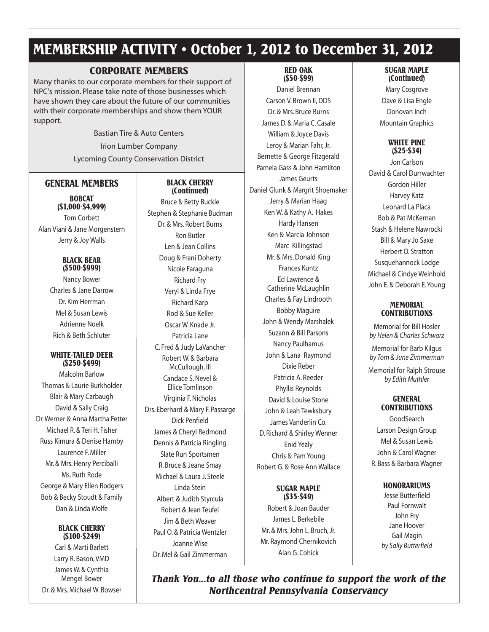# **MEMBERSHIP ACTIVITY • October 1, 2012 to December 31, 2012**

# **CORPORATE MEMBERS**

Many thanks to our corporate members for their support of NPC's mission. Please take note of those businesses which have shown they care about the future of our communities with their corporate memberships and show them YOUR support.

> Bastian Tire & Auto Centers Irion Lumber Company Lycoming County Conservation District

# **GENERAL MEMBERS**

**BOBCAT (\$1,000-\$4,999)**

Tom Corbett Alan Viani & Jane Morgenstern Jerry & Joy Walls

#### **BLACK BEAR (\$500-\$999)**

Nancy Bower Charles & Jane Darrow Dr. Kim Herrman Mel & Susan Lewis Adrienne Noelk Rich & Beth Schluter

#### **WHITE-TAILED DEER (\$250-\$499)**

Malcolm Barlow Thomas & Laurie Burkholder Blair & Mary Carbaugh David & Sally Craig Dr.Werner & Anna Martha Fetter Michael R. & Teri H. Fisher Russ Kimura & Denise Hamby Laurence F. Miller Mr. & Mrs. Henry Perciballi Ms. Ruth Rode George & Mary Ellen Rodgers Bob & Becky Stoudt & Family Dan & Linda Wolfe

### **BLACK CHERRY (\$100-\$249)**

Carl & Marti Barlett Larry R. Bason,VMD James W. & Cynthia Mengel Bower Dr. & Mrs. Michael W. Bowser

#### **BLACK CHERRY (Continued)**

Bruce & Betty Buckle Stephen & Stephanie Budman Dr. & Mrs. Robert Burns Ron Butler Len & Jean Collins Doug & Frani Doherty Nicole Faraguna Richard Fry Veryl & Linda Frye Richard Karp Rod & Sue Keller Oscar W. Knade Jr. Patricia Lane C. Fred & Judy LaVancher Robert W. & Barbara McCullough, III Candace S.Nevel & Ellice Tomlinson Virginia F.Nicholas Drs. Eberhard & Mary F. Passarge Dick Penfield James & Cheryl Redmond Dennis & Patricia Ringling Slate Run Sportsmen R. Bruce & Jeane Smay Michael & Laura J. Steele Linda Stein Albert & Judith Styrcula Robert & Jean Teufel Jim & Beth Weaver Paul O. & Patricia Wentzler Joanne Wise Dr. Mel & Gail Zimmerman

#### **RED OAK (\$50-\$99)**

Daniel Brennan Carson V. Brown II, DDS Dr. & Mrs. Bruce Burns James D. & Maria C. Casale William & Joyce Davis Leroy & Marian Fahr, Jr. Bernette & George Fitzgerald Pamela Gass & John Hamilton James Geurts Daniel Glunk & Margrit Shoemaker Jerry & Marian Haag Ken W. & Kathy A. Hakes Hardy Hansen Ken & Marcia Johnson Marc Killingstad Mr. & Mrs. Donald King Frances Kuntz Ed Lawrence & Catherine McLaughlin Charles & Fay Lindrooth Bobby Maguire John & Wendy Marshalek Suzann & Bill Parsons Nancy Paulhamus John & Lana Raymond Dixie Reber Patricia A. Reeder Phyllis Reynolds David & Louise Stone John & Leah Tewksbury James Vanderlin Co. D. Richard & Shirley Wenner Enid Yealy Chris & Pam Young Robert G. & Rose Ann Wallace

#### **SUGAR MAPLE (\$35-\$49)**

Robert & Joan Bauder James L. Berkebile Mr. & Mrs.John L. Bruch,Jr. Mr. Raymond Chernikovich Alan G. Cohick

#### **SUGAR MAPLE (Continued)**

Mary Cosgrove Dave & Lisa Engle Donovan Inch Mountain Graphics

### **WHITE PINE (\$25-\$34)**

Jon Carlson David & Carol Durrwachter Gordon Hiller Harvey Katz Leonard La Placa Bob & Pat McKernan Stash & Helene Nawrocki Bill & Mary Jo Saxe Herbert O. Stratton Susquehannock Lodge Michael & Cindye Weinhold John E. & Deborah E.Young

#### **MEMORIAL CONTRIBUTIONS**

Memorial for Bill Hosler *by Helen & Charles Schwarz*

Memorial for Barb Kilgus *by Tom & June Zimmerman*

Memorial for Ralph Strouse *by Edith Muthler*

### **GENERAL CONTRIBUTIONS**

GoodSearch Larson Design Group Mel & Susan Lewis John & Carol Wagner R. Bass & Barbara Wagner

### **HONORARIUMS**

Jesse Butterfield Paul Fornwalt John Fry Jane Hoover Gail Magin *by Sally Butterfield*

*Thank You...to all those who continue to support the work of the Northcentral Pennsylvania Conservancy*